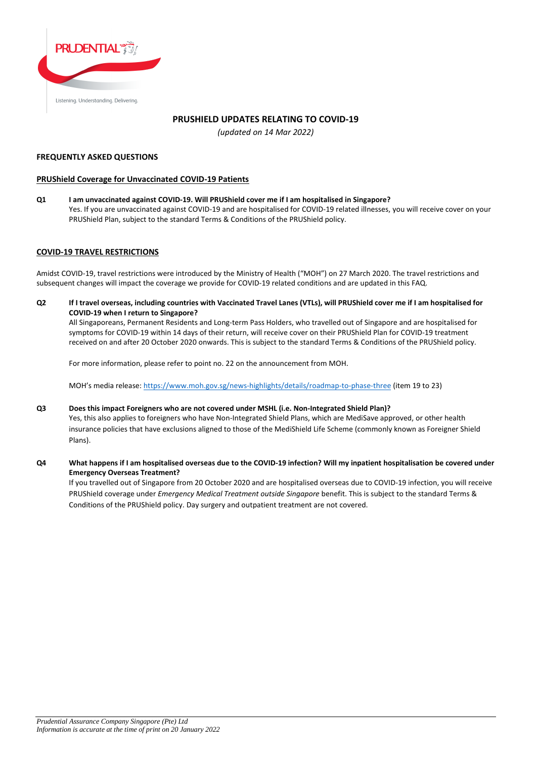

# **PRUSHIELD UPDATES RELATING TO COVID-19**

*(updated on 14 Mar 2022)*

### **FREQUENTLY ASKED QUESTIONS**

# **PRUShield Coverage for Unvaccinated COVID-19 Patients**

**Q1 I am unvaccinated against COVID-19. Will PRUShield cover me if I am hospitalised in Singapore?** Yes. If you are unvaccinated against COVID-19 and are hospitalised for COVID-19 related illnesses, you will receive cover on your PRUShield Plan, subject to the standard Terms & Conditions of the PRUShield policy.

# **COVID-19 TRAVEL RESTRICTIONS**

Amidst COVID-19, travel restrictions were introduced by the Ministry of Health ("MOH") on 27 March 2020. The travel restrictions and subsequent changes will impact the coverage we provide for COVID-19 related conditions and are updated in this FAQ.

**Q2 If I travel overseas, including countries with Vaccinated Travel Lanes (VTLs), will PRUShield cover me if I am hospitalised for COVID-19 when I return to Singapore?**

All Singaporeans, Permanent Residents and Long-term Pass Holders, who travelled out of Singapore and are hospitalised for symptoms for COVID-19 within 14 days of their return, will receive cover on their PRUShield Plan for COVID-19 treatment received on and after 20 October 2020 onwards. This is subject to the standard Terms & Conditions of the PRUShield policy.

For more information, please refer to point no. 22 on the announcement from MOH.

MOH's media release: <https://www.moh.gov.sg/news-highlights/details/roadmap-to-phase-three> (item 19 to 23)

### **Q3 Does this impact Foreigners who are not covered under MSHL (i.e. Non-Integrated Shield Plan)?**

Yes, this also applies to foreigners who have Non-Integrated Shield Plans, which are MediSave approved, or other health insurance policies that have exclusions aligned to those of the MediShield Life Scheme (commonly known as Foreigner Shield Plans).

**Q4 What happens if I am hospitalised overseas due to the COVID-19 infection? Will my inpatient hospitalisation be covered under Emergency Overseas Treatment?**

If you travelled out of Singapore from 20 October 2020 and are hospitalised overseas due to COVID-19 infection, you will receive PRUShield coverage under *Emergency Medical Treatment outside Singapore* benefit. This is subject to the standard Terms & Conditions of the PRUShield policy. Day surgery and outpatient treatment are not covered.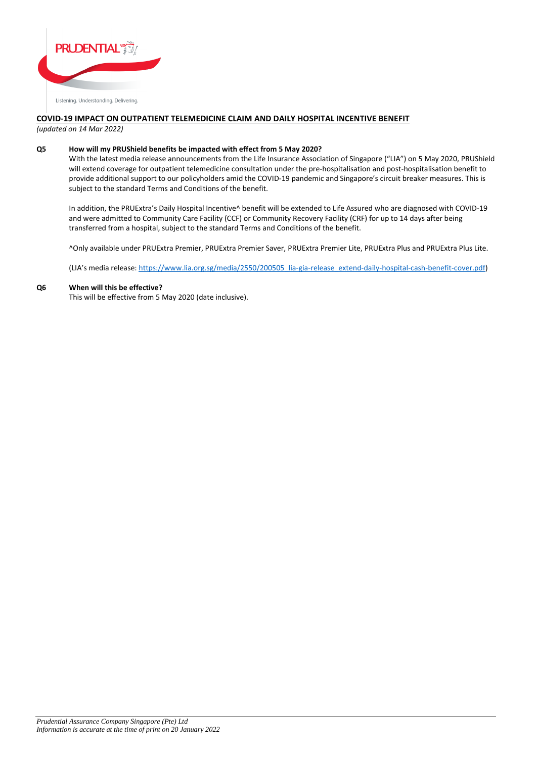

# **COVID-19 IMPACT ON OUTPATIENT TELEMEDICINE CLAIM AND DAILY HOSPITAL INCENTIVE BENEFIT**

*(updated on 14 Mar 2022)*

### **Q5 How will my PRUShield benefits be impacted with effect from 5 May 2020?**

With the latest media release announcements from the Life Insurance Association of Singapore ("LIA") on 5 May 2020, PRUShield will extend coverage for outpatient telemedicine consultation under the pre-hospitalisation and post-hospitalisation benefit to provide additional support to our policyholders amid the COVID-19 pandemic and Singapore's circuit breaker measures. This is subject to the standard Terms and Conditions of the benefit.

In addition, the PRUExtra's Daily Hospital Incentive^ benefit will be extended to Life Assured who are diagnosed with COVID-19 and were admitted to Community Care Facility (CCF) or Community Recovery Facility (CRF) for up to 14 days after being transferred from a hospital, subject to the standard Terms and Conditions of the benefit.

^Only available under PRUExtra Premier, PRUExtra Premier Saver, PRUExtra Premier Lite, PRUExtra Plus and PRUExtra Plus Lite.

(LIA's media release: [https://www.lia.org.sg/media/2550/200505\\_lia-gia-release\\_extend-daily-hospital-cash-benefit-cover.pdf\)](https://www.lia.org.sg/media/2550/200505_lia-gia-release_extend-daily-hospital-cash-benefit-cover.pdf)

### **Q6 When will this be effective?**

This will be effective from 5 May 2020 (date inclusive).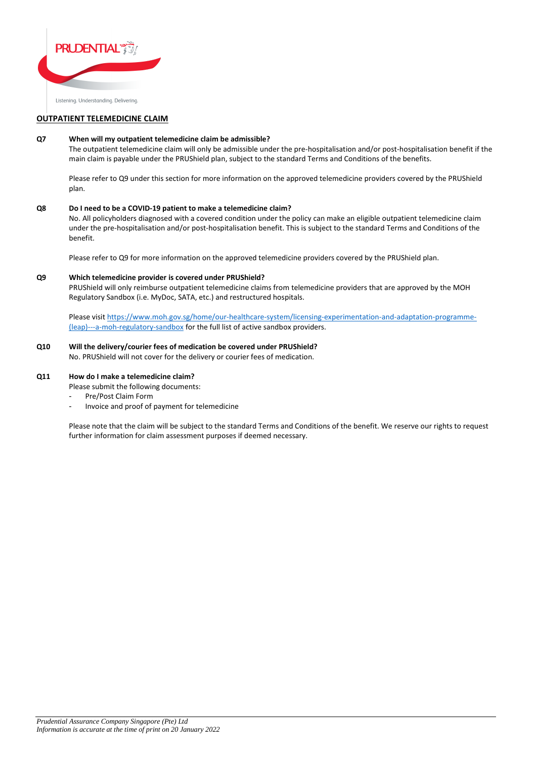

# **OUTPATIENT TELEMEDICINE CLAIM**

### **Q7 When will my outpatient telemedicine claim be admissible?**

The outpatient telemedicine claim will only be admissible under the pre-hospitalisation and/or post-hospitalisation benefit if the main claim is payable under the PRUShield plan, subject to the standard Terms and Conditions of the benefits.

Please refer to Q9 under this section for more information on the approved telemedicine providers covered by the PRUShield plan.

### **Q8 Do I need to be a COVID-19 patient to make a telemedicine claim?**

No. All policyholders diagnosed with a covered condition under the policy can make an eligible outpatient telemedicine claim under the pre-hospitalisation and/or post-hospitalisation benefit. This is subject to the standard Terms and Conditions of the benefit.

Please refer to Q9 for more information on the approved telemedicine providers covered by the PRUShield plan.

### **Q9 Which telemedicine provider is covered under PRUShield?**

PRUShield will only reimburse outpatient telemedicine claims from telemedicine providers that are approved by the MOH Regulatory Sandbox (i.e. MyDoc, SATA, etc.) and restructured hospitals.

Please visit [https://www.moh.gov.sg/home/our-healthcare-system/licensing-experimentation-and-adaptation-programme-](https://www.moh.gov.sg/home/our-healthcare-system/licensing-experimentation-and-adaptation-programme-(leap)---a-moh-regulatory-sandbox) [\(leap\)---a-moh-regulatory-sandbox](https://www.moh.gov.sg/home/our-healthcare-system/licensing-experimentation-and-adaptation-programme-(leap)---a-moh-regulatory-sandbox) for the full list of active sandbox providers.

# **Q10 Will the delivery/courier fees of medication be covered under PRUShield?**

No. PRUShield will not cover for the delivery or courier fees of medication.

### **Q11 How do I make a telemedicine claim?**

Please submit the following documents:

- Pre/Post Claim Form
- Invoice and proof of payment for telemedicine

Please note that the claim will be subject to the standard Terms and Conditions of the benefit. We reserve our rights to request further information for claim assessment purposes if deemed necessary.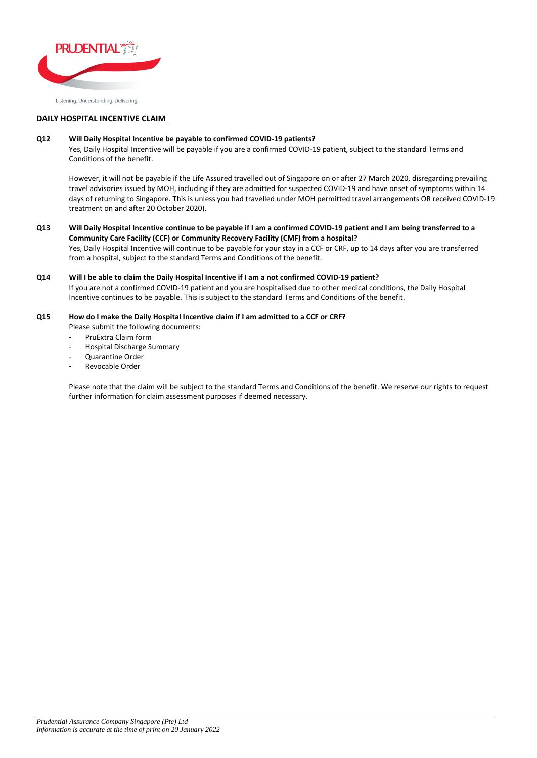

# **DAILY HOSPITAL INCENTIVE CLAIM**

### **Q12 Will Daily Hospital Incentive be payable to confirmed COVID-19 patients?**

Yes, Daily Hospital Incentive will be payable if you are a confirmed COVID-19 patient, subject to the standard Terms and Conditions of the benefit.

However, it will not be payable if the Life Assured travelled out of Singapore on or after 27 March 2020, disregarding prevailing travel advisories issued by MOH, including if they are admitted for suspected COVID-19 and have onset of symptoms within 14 days of returning to Singapore. This is unless you had travelled under MOH permitted travel arrangements OR received COVID-19 treatment on and after 20 October 2020).

**Q13 Will Daily Hospital Incentive continue to be payable if I am a confirmed COVID-19 patient and I am being transferred to a Community Care Facility (CCF) or Community Recovery Facility (CMF) from a hospital?** Yes, Daily Hospital Incentive will continue to be payable for your stay in a CCF or CRF, up to 14 days after you are transferred from a hospital, subject to the standard Terms and Conditions of the benefit.

**Q14 Will I be able to claim the Daily Hospital Incentive if I am a not confirmed COVID-19 patient?** If you are not a confirmed COVID-19 patient and you are hospitalised due to other medical conditions, the Daily Hospital Incentive continues to be payable. This is subject to the standard Terms and Conditions of the benefit.

- **Q15 How do I make the Daily Hospital Incentive claim if I am admitted to a CCF or CRF?**
	- Please submit the following documents:
	- PruExtra Claim form
	- Hospital Discharge Summary
	- Quarantine Order
	- Revocable Order

Please note that the claim will be subject to the standard Terms and Conditions of the benefit. We reserve our rights to request further information for claim assessment purposes if deemed necessary.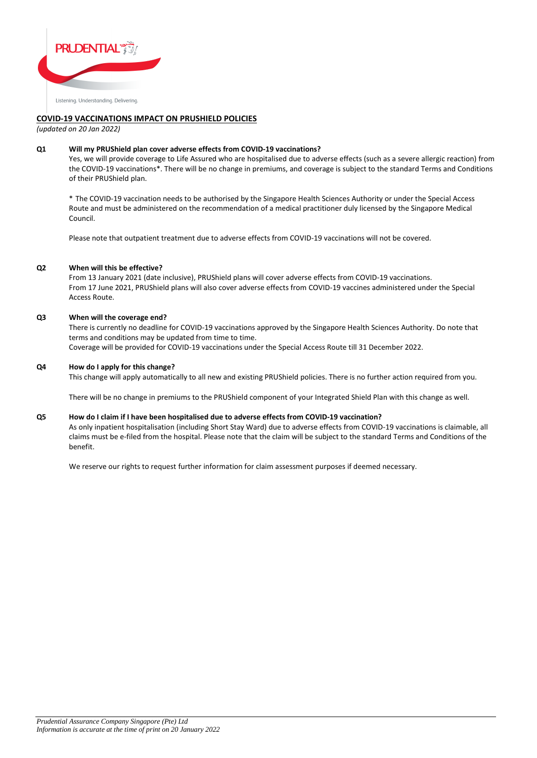

# **COVID-19 VACCINATIONS IMPACT ON PRUSHIELD POLICIES**

*(updated on 20 Jan 2022)*

### **Q1 Will my PRUShield plan cover adverse effects from COVID-19 vaccinations?**

Yes, we will provide coverage to Life Assured who are hospitalised due to adverse effects (such as a severe allergic reaction) from the COVID-19 vaccinations\*. There will be no change in premiums, and coverage is subject to the standard Terms and Conditions of their PRUShield plan.

\* The COVID-19 vaccination needs to be authorised by the Singapore Health Sciences Authority or under the Special Access Route and must be administered on the recommendation of a medical practitioner duly licensed by the Singapore Medical Council.

Please note that outpatient treatment due to adverse effects from COVID-19 vaccinations will not be covered.

### **Q2 When will this be effective?**

From 13 January 2021 (date inclusive), PRUShield plans will cover adverse effects from COVID-19 vaccinations. From 17 June 2021, PRUShield plans will also cover adverse effects from COVID-19 vaccines administered under the Special Access Route.

### **Q3 When will the coverage end?**

There is currently no deadline for COVID-19 vaccinations approved by the Singapore Health Sciences Authority. Do note that terms and conditions may be updated from time to time. Coverage will be provided for COVID-19 vaccinations under the Special Access Route till 31 December 2022.

### **Q4 How do I apply for this change?**

This change will apply automatically to all new and existing PRUShield policies. There is no further action required from you.

There will be no change in premiums to the PRUShield component of your Integrated Shield Plan with this change as well.

#### **Q5 How do I claim if I have been hospitalised due to adverse effects from COVID-19 vaccination?**

As only inpatient hospitalisation (including Short Stay Ward) due to adverse effects from COVID-19 vaccinations is claimable, all claims must be e-filed from the hospital. Please note that the claim will be subject to the standard Terms and Conditions of the benefit.

We reserve our rights to request further information for claim assessment purposes if deemed necessary.